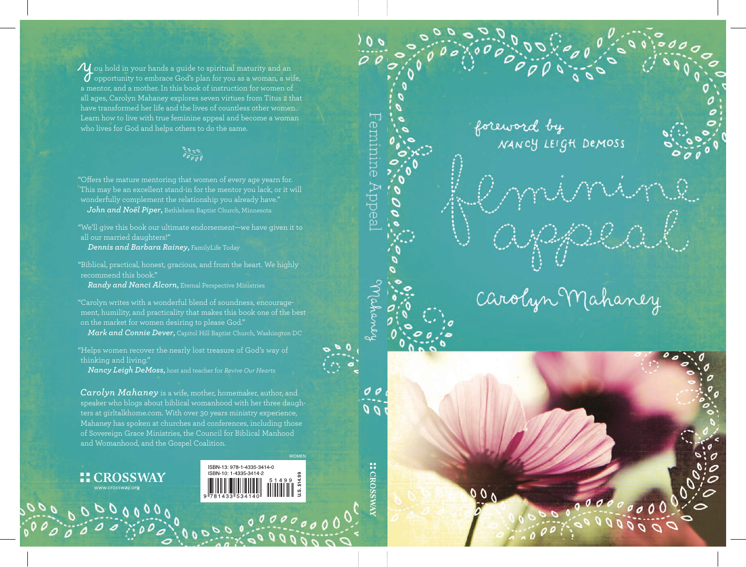foreword by NANCY LEIGH DEMOSS  $\mathfrak{g}_0$ Carolyn Mahaney 0  $\frac{1}{2}$ 

00000000  $\rho \rho$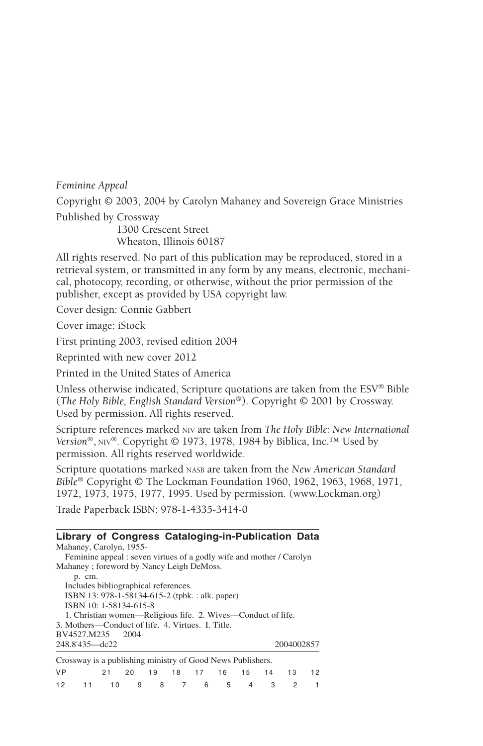*Feminine Appeal*

Copyright © 2003, 2004 by Carolyn Mahaney and Sovereign Grace Ministries Published by Crossway

> 1300 Crescent Street Wheaton, Illinois 60187

All rights reserved. No part of this publication may be reproduced, stored in a retrieval system, or transmitted in any form by any means, electronic, mechanical, photocopy, recording, or otherwise, without the prior permission of the publisher, except as provided by USA copyright law.

Cover design: Connie Gabbert

Cover image: iStock

First printing 2003, revised edition 2004

Reprinted with new cover 2012

Printed in the United States of America

Unless otherwise indicated, Scripture quotations are taken from the ESV® Bible (*The Holy Bible, English Standard Version*®). Copyright © 2001 by Crossway. Used by permission. All rights reserved.

Scripture references marked NIV are taken from *The Holy Bible: New International Version*®, NIV®*.* Copyright © 1973, 1978, 1984 by Biblica, Inc.™ Used by permission. All rights reserved worldwide.

Scripture quotations marked NASB are taken from the *New American Standard Bible*® Copyright © The Lockman Foundation 1960, 1962, 1963, 1968, 1971, 1972, 1973, 1975, 1977, 1995. Used by permission. (www.Lockman.org)

Trade Paperback ISBN: 978-1-4335-3414-0

| Library of Congress Cataloging-in-Publication Data                                                                                         |                                                            |    |         |  |                     |   |                         |  |   |            |                                                                                                                                                                                                                                       |        |  |  |  |  |  |  |  |  |  |    |
|--------------------------------------------------------------------------------------------------------------------------------------------|------------------------------------------------------------|----|---------|--|---------------------|---|-------------------------|--|---|------------|---------------------------------------------------------------------------------------------------------------------------------------------------------------------------------------------------------------------------------------|--------|--|--|--|--|--|--|--|--|--|----|
| Mahaney, Carolyn, 1955-<br>Feminine appeal: seven virtues of a godly wife and mother / Carolyn<br>Mahaney; foreword by Nancy Leigh DeMoss. |                                                            |    |         |  |                     |   |                         |  |   |            |                                                                                                                                                                                                                                       |        |  |  |  |  |  |  |  |  |  |    |
|                                                                                                                                            |                                                            |    |         |  |                     |   |                         |  |   |            |                                                                                                                                                                                                                                       | p. cm. |  |  |  |  |  |  |  |  |  |    |
|                                                                                                                                            |                                                            |    |         |  |                     |   |                         |  |   |            | Includes bibliographical references.<br>ISBN 13: 978-1-58134-615-2 (tpbk.: alk. paper)<br>ISBN 10: 1-58134-615-8<br>1. Christian women—Religious life. 2. Wives—Conduct of life.<br>3. Mothers—Conduct of life. 4. Virtues. I. Title. |        |  |  |  |  |  |  |  |  |  |    |
|                                                                                                                                            | BV4527.M235 2004                                           |    |         |  |                     |   |                         |  |   |            |                                                                                                                                                                                                                                       |        |  |  |  |  |  |  |  |  |  |    |
|                                                                                                                                            | 248.8'435-dc22                                             |    |         |  |                     |   |                         |  |   | 2004002857 |                                                                                                                                                                                                                                       |        |  |  |  |  |  |  |  |  |  |    |
|                                                                                                                                            | Crossway is a publishing ministry of Good News Publishers. |    |         |  |                     |   |                         |  |   |            |                                                                                                                                                                                                                                       |        |  |  |  |  |  |  |  |  |  |    |
| <b>VP</b>                                                                                                                                  |                                                            | 21 |         |  |                     |   | 20 19 18 17 16 15 14 13 |  |   |            |                                                                                                                                                                                                                                       |        |  |  |  |  |  |  |  |  |  | 12 |
| 12                                                                                                                                         | 11                                                         |    | 10<br>9 |  | 8<br>$\overline{7}$ | 6 | 5                       |  | 3 | 2          |                                                                                                                                                                                                                                       |        |  |  |  |  |  |  |  |  |  |    |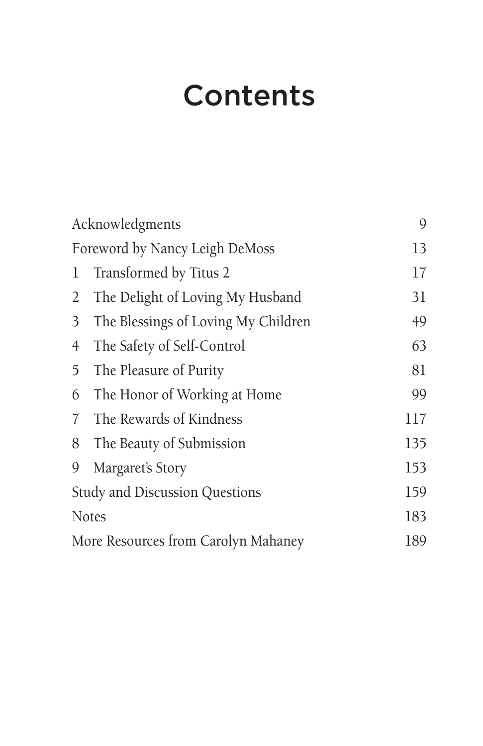# Contents

|                                     | Acknowledgments                       | 9   |  |  |
|-------------------------------------|---------------------------------------|-----|--|--|
| Foreword by Nancy Leigh DeMoss      | 13                                    |     |  |  |
| $\mathbf{1}$                        | Transformed by Titus 2                | 17  |  |  |
| $\overline{2}$                      | The Delight of Loving My Husband      | 31  |  |  |
| 3 <sup>1</sup>                      | The Blessings of Loving My Children   | 49  |  |  |
| 4                                   | The Safety of Self-Control            | 63  |  |  |
| 5                                   | The Pleasure of Purity                | 81  |  |  |
| 6                                   | The Honor of Working at Home          | 99  |  |  |
| $\overline{7}$                      | The Rewards of Kindness               | 117 |  |  |
| 8                                   | The Beauty of Submission              | 135 |  |  |
| 9                                   | Margaret's Story                      | 153 |  |  |
|                                     | <b>Study and Discussion Questions</b> | 159 |  |  |
| <b>Notes</b>                        | 183                                   |     |  |  |
| More Resources from Carolyn Mahaney |                                       |     |  |  |
|                                     |                                       |     |  |  |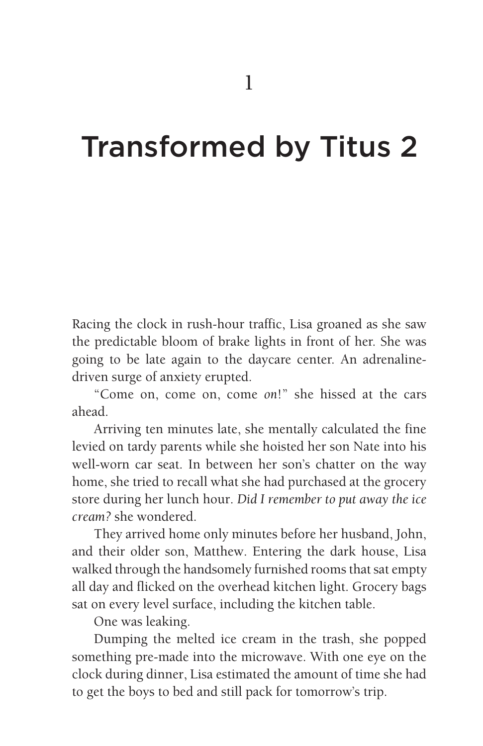# Transformed by Titus 2

Racing the clock in rush-hour traffic, Lisa groaned as she saw the predictable bloom of brake lights in front of her. She was going to be late again to the daycare center. An adrenalinedriven surge of anxiety erupted.

"Come on, come on, come *on*!" she hissed at the cars ahead.

Arriving ten minutes late, she mentally calculated the fine levied on tardy parents while she hoisted her son Nate into his well-worn car seat. In between her son's chatter on the way home, she tried to recall what she had purchased at the grocery store during her lunch hour. *Did I remember to put away the ice cream?* she wondered.

They arrived home only minutes before her husband, John, and their older son, Matthew. Entering the dark house, Lisa walked through the handsomely furnished rooms that sat empty all day and flicked on the overhead kitchen light. Grocery bags sat on every level surface, including the kitchen table.

One was leaking.

Dumping the melted ice cream in the trash, she popped something pre-made into the microwave. With one eye on the clock during dinner, Lisa estimated the amount of time she had to get the boys to bed and still pack for tomorrow's trip.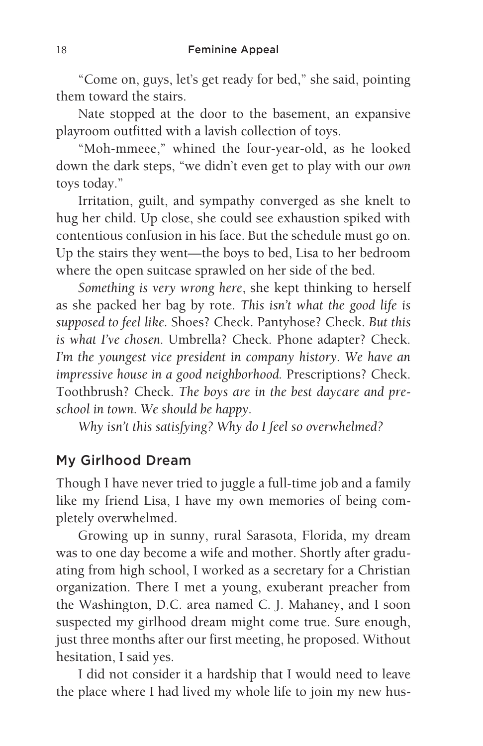"Come on, guys, let's get ready for bed," she said, pointing them toward the stairs.

Nate stopped at the door to the basement, an expansive playroom outfitted with a lavish collection of toys.

"Moh-mmeee," whined the four-year-old, as he looked down the dark steps, "we didn't even get to play with our *own* toys today."

Irritation, guilt, and sympathy converged as she knelt to hug her child. Up close, she could see exhaustion spiked with contentious confusion in his face. But the schedule must go on. Up the stairs they went—the boys to bed, Lisa to her bedroom where the open suitcase sprawled on her side of the bed.

*Something is very wrong here*, she kept thinking to herself as she packed her bag by rote*. This isn't what the good life is supposed to feel like.* Shoes? Check. Pantyhose? Check. *But this is what I've chosen.* Umbrella? Check. Phone adapter? Check. *I'm the youngest vice president in company history. We have an impressive house in a good neighborhood.* Prescriptions? Check. Toothbrush? Check. *The boys are in the best daycare and preschool in town. We should be happy.* 

*Why isn't this satisfying? Why do I feel so overwhelmed?*

#### My Girlhood Dream

Though I have never tried to juggle a full-time job and a family like my friend Lisa, I have my own memories of being completely overwhelmed.

Growing up in sunny, rural Sarasota, Florida, my dream was to one day become a wife and mother. Shortly after graduating from high school, I worked as a secretary for a Christian organization. There I met a young, exuberant preacher from the Washington, D.C. area named C. J. Mahaney, and I soon suspected my girlhood dream might come true. Sure enough, just three months after our first meeting, he proposed. Without hesitation, I said yes.

I did not consider it a hardship that I would need to leave the place where I had lived my whole life to join my new hus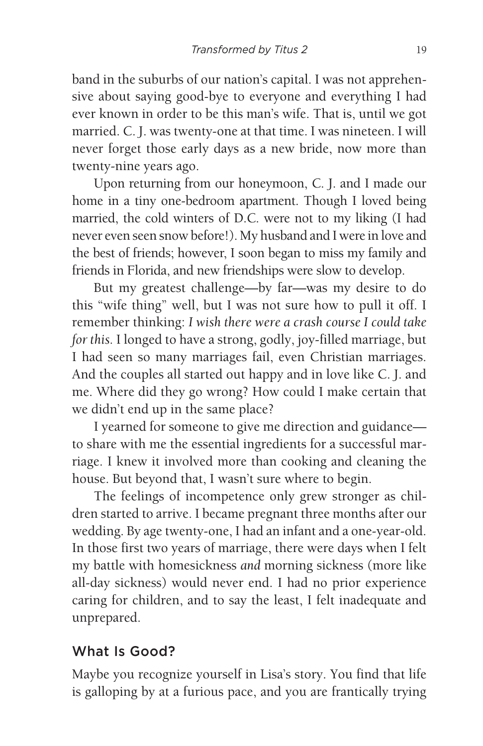band in the suburbs of our nation's capital. I was not apprehensive about saying good-bye to everyone and everything I had ever known in order to be this man's wife. That is, until we got married. C. J. was twenty-one at that time. I was nineteen. I will never forget those early days as a new bride, now more than twenty-nine years ago.

Upon returning from our honeymoon, C. J. and I made our home in a tiny one-bedroom apartment. Though I loved being married, the cold winters of D.C. were not to my liking (I had never even seen snow before!). My husband and I were in love and the best of friends; however, I soon began to miss my family and friends in Florida, and new friendships were slow to develop.

But my greatest challenge—by far—was my desire to do this "wife thing" well, but I was not sure how to pull it off. I remember thinking: *I wish there were a crash course I could take for this.* I longed to have a strong, godly, joy-filled marriage, but I had seen so many marriages fail, even Christian marriages. And the couples all started out happy and in love like C. J. and me. Where did they go wrong? How could I make certain that we didn't end up in the same place?

I yearned for someone to give me direction and guidance to share with me the essential ingredients for a successful marriage. I knew it involved more than cooking and cleaning the house. But beyond that, I wasn't sure where to begin.

The feelings of incompetence only grew stronger as children started to arrive. I became pregnant three months after our wedding. By age twenty-one, I had an infant and a one-year-old. In those first two years of marriage, there were days when I felt my battle with homesickness *and* morning sickness (more like all-day sickness) would never end. I had no prior experience caring for children, and to say the least, I felt inadequate and unprepared.

#### What Is Good?

Maybe you recognize yourself in Lisa's story. You find that life is galloping by at a furious pace, and you are frantically trying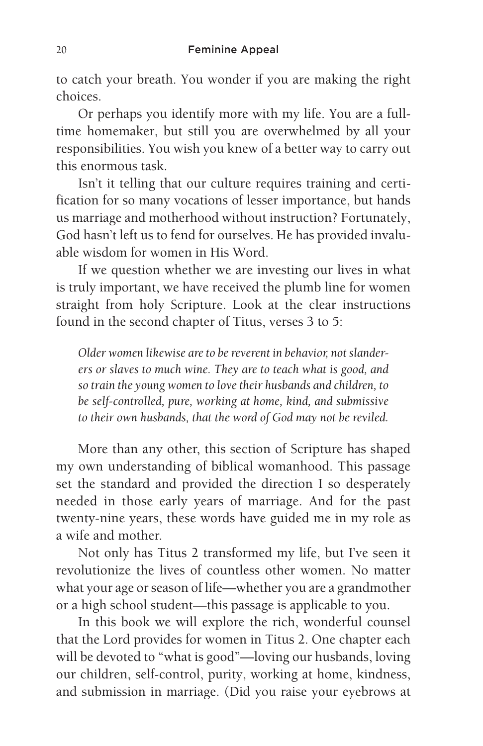to catch your breath. You wonder if you are making the right choices.

Or perhaps you identify more with my life. You are a fulltime homemaker, but still you are overwhelmed by all your responsibilities. You wish you knew of a better way to carry out this enormous task.

Isn't it telling that our culture requires training and certification for so many vocations of lesser importance, but hands us marriage and motherhood without instruction? Fortunately, God hasn't left us to fend for ourselves. He has provided invaluable wisdom for women in His Word.

If we question whether we are investing our lives in what is truly important, we have received the plumb line for women straight from holy Scripture. Look at the clear instructions found in the second chapter of Titus, verses 3 to 5:

*Older women likewise are to be reverent in behavior, not slanderers or slaves to much wine. They are to teach what is good, and so train the young women to love their husbands and children, to be self-controlled, pure, working at home, kind, and submissive to their own husbands, that the word of God may not be reviled.*

More than any other, this section of Scripture has shaped my own understanding of biblical womanhood. This passage set the standard and provided the direction I so desperately needed in those early years of marriage. And for the past twenty-nine years, these words have guided me in my role as a wife and mother.

Not only has Titus 2 transformed my life, but I've seen it revolutionize the lives of countless other women. No matter what your age or season of life—whether you are a grandmother or a high school student—this passage is applicable to you.

In this book we will explore the rich, wonderful counsel that the Lord provides for women in Titus 2. One chapter each will be devoted to "what is good"—loving our husbands, loving our children, self-control, purity, working at home, kindness, and submission in marriage. (Did you raise your eyebrows at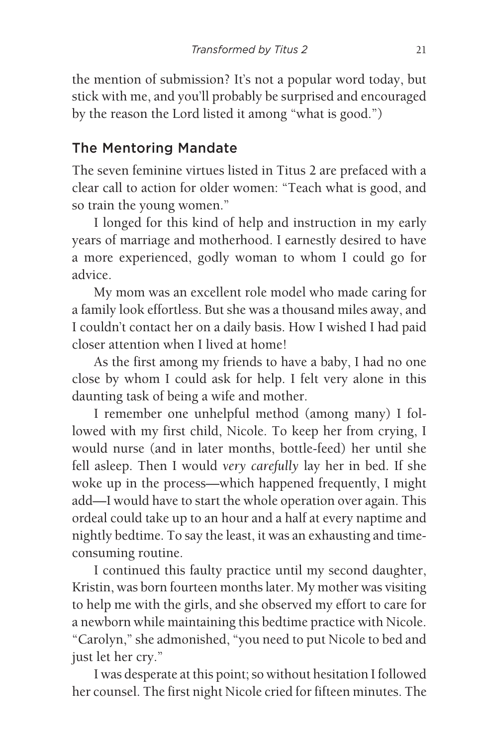the mention of submission? It's not a popular word today, but stick with me, and you'll probably be surprised and encouraged by the reason the Lord listed it among "what is good.")

#### The Mentoring Mandate

The seven feminine virtues listed in Titus 2 are prefaced with a clear call to action for older women: "Teach what is good, and so train the young women."

I longed for this kind of help and instruction in my early years of marriage and motherhood. I earnestly desired to have a more experienced, godly woman to whom I could go for advice.

My mom was an excellent role model who made caring for a family look effortless. But she was a thousand miles away, and I couldn't contact her on a daily basis. How I wished I had paid closer attention when I lived at home!

As the first among my friends to have a baby, I had no one close by whom I could ask for help. I felt very alone in this daunting task of being a wife and mother.

I remember one unhelpful method (among many) I followed with my first child, Nicole. To keep her from crying, I would nurse (and in later months, bottle-feed) her until she fell asleep. Then I would *very carefully* lay her in bed. If she woke up in the process—which happened frequently, I might add—I would have to start the whole operation over again. This ordeal could take up to an hour and a half at every naptime and nightly bedtime. To say the least, it was an exhausting and timeconsuming routine.

I continued this faulty practice until my second daughter, Kristin, was born fourteen months later. My mother was visiting to help me with the girls, and she observed my effort to care for a newborn while maintaining this bedtime practice with Nicole. "Carolyn," she admonished, "you need to put Nicole to bed and just let her cry."

I was desperate at this point; so without hesitation I followed her counsel. The first night Nicole cried for fifteen minutes. The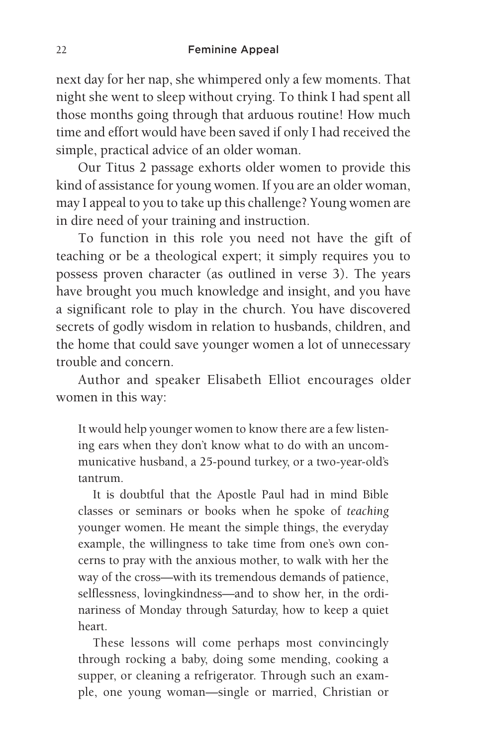next day for her nap, she whimpered only a few moments. That night she went to sleep without crying. To think I had spent all those months going through that arduous routine! How much time and effort would have been saved if only I had received the simple, practical advice of an older woman.

Our Titus 2 passage exhorts older women to provide this kind of assistance for young women. If you are an older woman, may I appeal to you to take up this challenge? Young women are in dire need of your training and instruction.

To function in this role you need not have the gift of teaching or be a theological expert; it simply requires you to possess proven character (as outlined in verse 3). The years have brought you much knowledge and insight, and you have a significant role to play in the church. You have discovered secrets of godly wisdom in relation to husbands, children, and the home that could save younger women a lot of unnecessary trouble and concern.

Author and speaker Elisabeth Elliot encourages older women in this way:

It would help younger women to know there are a few listening ears when they don't know what to do with an uncommunicative husband, a 25-pound turkey, or a two-year-old's tantrum.

It is doubtful that the Apostle Paul had in mind Bible classes or seminars or books when he spoke of *teaching* younger women. He meant the simple things, the everyday example, the willingness to take time from one's own concerns to pray with the anxious mother, to walk with her the way of the cross—with its tremendous demands of patience, selflessness, lovingkindness—and to show her, in the ordinariness of Monday through Saturday, how to keep a quiet heart.

These lessons will come perhaps most convincingly through rocking a baby, doing some mending, cooking a supper, or cleaning a refrigerator. Through such an example, one young woman—single or married, Christian or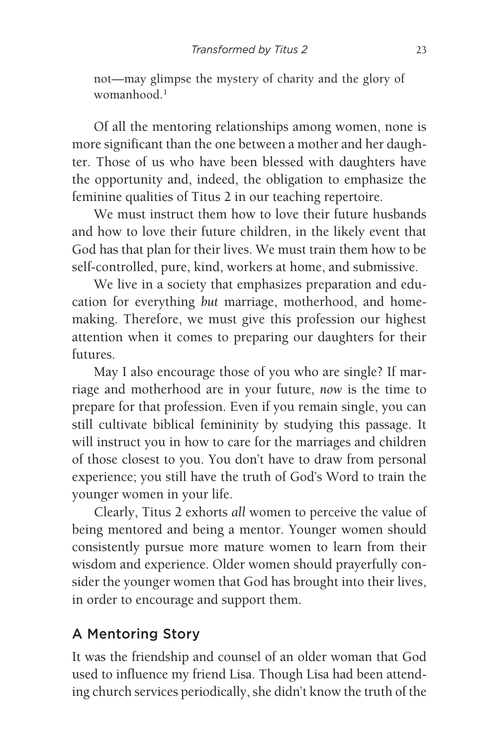not—may glimpse the mystery of charity and the glory of womanhood<sup>1</sup>

Of all the mentoring relationships among women, none is more significant than the one between a mother and her daughter. Those of us who have been blessed with daughters have the opportunity and, indeed, the obligation to emphasize the feminine qualities of Titus 2 in our teaching repertoire.

We must instruct them how to love their future husbands and how to love their future children, in the likely event that God has that plan for their lives. We must train them how to be self-controlled, pure, kind, workers at home, and submissive.

We live in a society that emphasizes preparation and education for everything *but* marriage, motherhood, and homemaking. Therefore, we must give this profession our highest attention when it comes to preparing our daughters for their futures.

May I also encourage those of you who are single? If marriage and motherhood are in your future, *now* is the time to prepare for that profession. Even if you remain single, you can still cultivate biblical femininity by studying this passage. It will instruct you in how to care for the marriages and children of those closest to you. You don't have to draw from personal experience; you still have the truth of God's Word to train the younger women in your life.

Clearly, Titus 2 exhorts *all* women to perceive the value of being mentored and being a mentor. Younger women should consistently pursue more mature women to learn from their wisdom and experience. Older women should prayerfully consider the younger women that God has brought into their lives, in order to encourage and support them.

## A Mentoring Story

It was the friendship and counsel of an older woman that God used to influence my friend Lisa. Though Lisa had been attending church services periodically, she didn't know the truth of the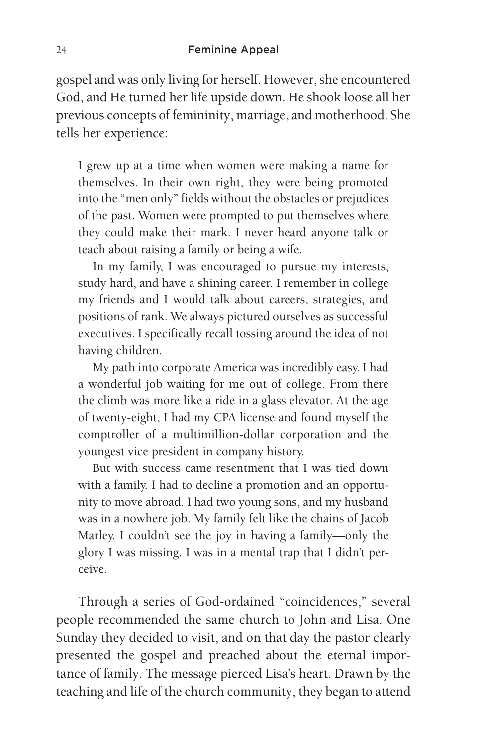gospel and was only living for herself. However, she encountered God, and He turned her life upside down. He shook loose all her previous concepts of femininity, marriage, and motherhood. She tells her experience:

I grew up at a time when women were making a name for themselves. In their own right, they were being promoted into the "men only" fields without the obstacles or prejudices of the past. Women were prompted to put themselves where they could make their mark. I never heard anyone talk or teach about raising a family or being a wife.

In my family, I was encouraged to pursue my interests, study hard, and have a shining career. I remember in college my friends and I would talk about careers, strategies, and positions of rank. We always pictured ourselves as successful executives. I specifically recall tossing around the idea of not having children.

My path into corporate America was incredibly easy. I had a wonderful job waiting for me out of college. From there the climb was more like a ride in a glass elevator. At the age of twenty-eight, I had my CPA license and found myself the comptroller of a multimillion-dollar corporation and the youngest vice president in company history.

But with success came resentment that I was tied down with a family. I had to decline a promotion and an opportunity to move abroad. I had two young sons, and my husband was in a nowhere job. My family felt like the chains of Jacob Marley. I couldn't see the joy in having a family—only the glory I was missing. I was in a mental trap that I didn't perceive.

Through a series of God-ordained "coincidences," several people recommended the same church to John and Lisa. One Sunday they decided to visit, and on that day the pastor clearly presented the gospel and preached about the eternal importance of family. The message pierced Lisa's heart. Drawn by the teaching and life of the church community, they began to attend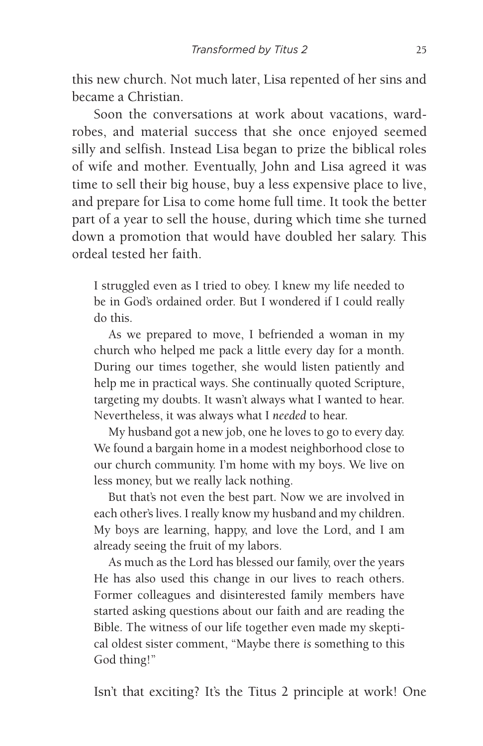this new church. Not much later, Lisa repented of her sins and became a Christian.

Soon the conversations at work about vacations, wardrobes, and material success that she once enjoyed seemed silly and selfish. Instead Lisa began to prize the biblical roles of wife and mother. Eventually, John and Lisa agreed it was time to sell their big house, buy a less expensive place to live, and prepare for Lisa to come home full time. It took the better part of a year to sell the house, during which time she turned down a promotion that would have doubled her salary. This ordeal tested her faith.

I struggled even as I tried to obey. I knew my life needed to be in God's ordained order. But I wondered if I could really do this.

As we prepared to move, I befriended a woman in my church who helped me pack a little every day for a month. During our times together, she would listen patiently and help me in practical ways. She continually quoted Scripture, targeting my doubts. It wasn't always what I wanted to hear. Nevertheless, it was always what I *needed* to hear.

My husband got a new job, one he loves to go to every day. We found a bargain home in a modest neighborhood close to our church community. I'm home with my boys. We live on less money, but we really lack nothing.

But that's not even the best part. Now we are involved in each other's lives. I really know my husband and my children. My boys are learning, happy, and love the Lord, and I am already seeing the fruit of my labors.

As much as the Lord has blessed our family, over the years He has also used this change in our lives to reach others. Former colleagues and disinterested family members have started asking questions about our faith and are reading the Bible. The witness of our life together even made my skeptical oldest sister comment, "Maybe there *is* something to this God thing!"

Isn't that exciting? It's the Titus 2 principle at work! One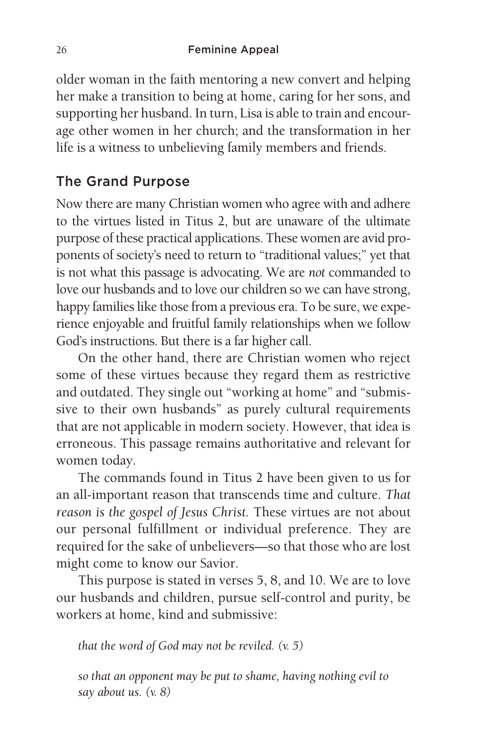older woman in the faith mentoring a new convert and helping her make a transition to being at home, caring for her sons, and supporting her husband. In turn, Lisa is able to train and encourage other women in her church; and the transformation in her life is a witness to unbelieving family members and friends.

## The Grand Purpose

Now there are many Christian women who agree with and adhere to the virtues listed in Titus 2, but are unaware of the ultimate purpose of these practical applications. These women are avid proponents of society's need to return to "traditional values;" yet that is not what this passage is advocating. We are *not* commanded to love our husbands and to love our children so we can have strong, happy families like those from a previous era. To be sure, we experience enjoyable and fruitful family relationships when we follow God's instructions. But there is a far higher call.

On the other hand, there are Christian women who reject some of these virtues because they regard them as restrictive and outdated. They single out "working at home" and "submissive to their own husbands" as purely cultural requirements that are not applicable in modern society. However, that idea is erroneous. This passage remains authoritative and relevant for women today.

The commands found in Titus 2 have been given to us for an all-important reason that transcends time and culture. *That reason is the gospel of Jesus Christ.* These virtues are not about our personal fulfillment or individual preference. They are required for the sake of unbelievers—so that those who are lost might come to know our Savior.

This purpose is stated in verses 5, 8, and 10. We are to love our husbands and children, pursue self-control and purity, be workers at home, kind and submissive:

*that the word of God may not be reviled. (v. 5)*

*so that an opponent may be put to shame, having nothing evil to say about us. (v. 8)*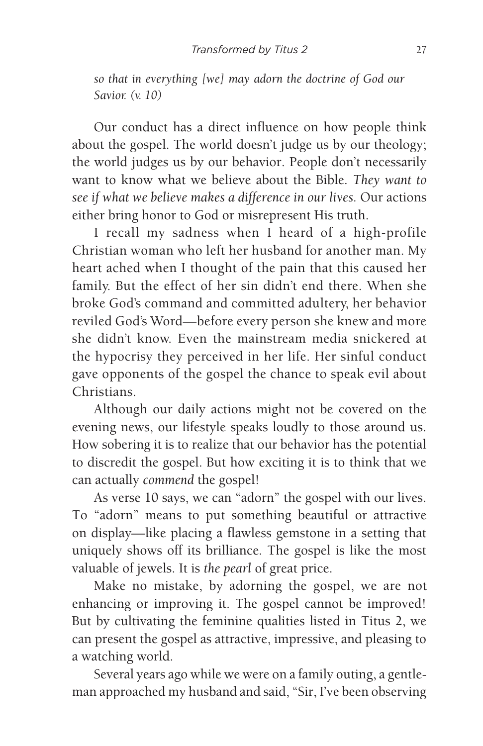*so that in everything [we] may adorn the doctrine of God our Savior. (v. 10)*

Our conduct has a direct influence on how people think about the gospel. The world doesn't judge us by our theology; the world judges us by our behavior. People don't necessarily want to know what we believe about the Bible. *They want to see if what we believe makes a difference in our lives.* Our actions either bring honor to God or misrepresent His truth.

I recall my sadness when I heard of a high-profile Christian woman who left her husband for another man. My heart ached when I thought of the pain that this caused her family. But the effect of her sin didn't end there. When she broke God's command and committed adultery, her behavior reviled God's Word—before every person she knew and more she didn't know. Even the mainstream media snickered at the hypocrisy they perceived in her life. Her sinful conduct gave opponents of the gospel the chance to speak evil about Christians.

Although our daily actions might not be covered on the evening news, our lifestyle speaks loudly to those around us. How sobering it is to realize that our behavior has the potential to discredit the gospel. But how exciting it is to think that we can actually *commend* the gospel!

As verse 10 says, we can "adorn" the gospel with our lives. To "adorn" means to put something beautiful or attractive on display—like placing a flawless gemstone in a setting that uniquely shows off its brilliance. The gospel is like the most valuable of jewels. It is *the pearl* of great price.

Make no mistake, by adorning the gospel, we are not enhancing or improving it. The gospel cannot be improved! But by cultivating the feminine qualities listed in Titus 2, we can present the gospel as attractive, impressive, and pleasing to a watching world.

Several years ago while we were on a family outing, a gentleman approached my husband and said, "Sir, I've been observing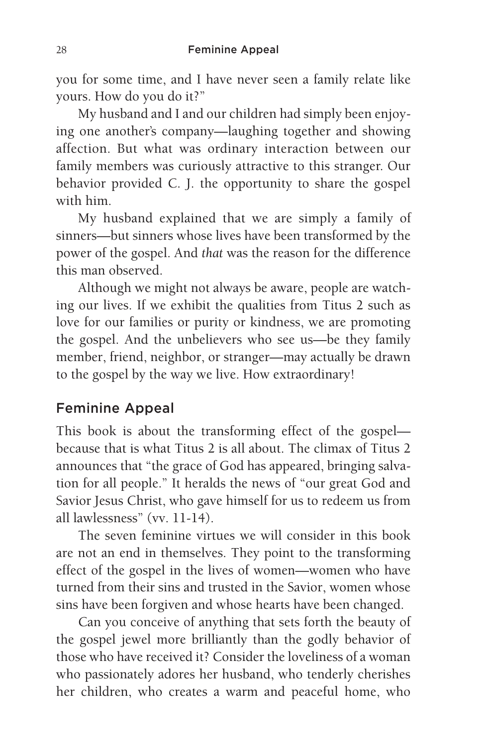you for some time, and I have never seen a family relate like yours. How do you do it?"

My husband and I and our children had simply been enjoying one another's company—laughing together and showing affection. But what was ordinary interaction between our family members was curiously attractive to this stranger. Our behavior provided C. J. the opportunity to share the gospel with him.

My husband explained that we are simply a family of sinners—but sinners whose lives have been transformed by the power of the gospel. And *that* was the reason for the difference this man observed.

Although we might not always be aware, people are watching our lives. If we exhibit the qualities from Titus 2 such as love for our families or purity or kindness, we are promoting the gospel. And the unbelievers who see us—be they family member, friend, neighbor, or stranger—may actually be drawn to the gospel by the way we live. How extraordinary!

#### Feminine Appeal

This book is about the transforming effect of the gospel because that is what Titus 2 is all about. The climax of Titus 2 announces that "the grace of God has appeared, bringing salvation for all people." It heralds the news of "our great God and Savior Jesus Christ, who gave himself for us to redeem us from all lawlessness" (vv. 11-14).

The seven feminine virtues we will consider in this book are not an end in themselves. They point to the transforming effect of the gospel in the lives of women—women who have turned from their sins and trusted in the Savior, women whose sins have been forgiven and whose hearts have been changed.

Can you conceive of anything that sets forth the beauty of the gospel jewel more brilliantly than the godly behavior of those who have received it? Consider the loveliness of a woman who passionately adores her husband, who tenderly cherishes her children, who creates a warm and peaceful home, who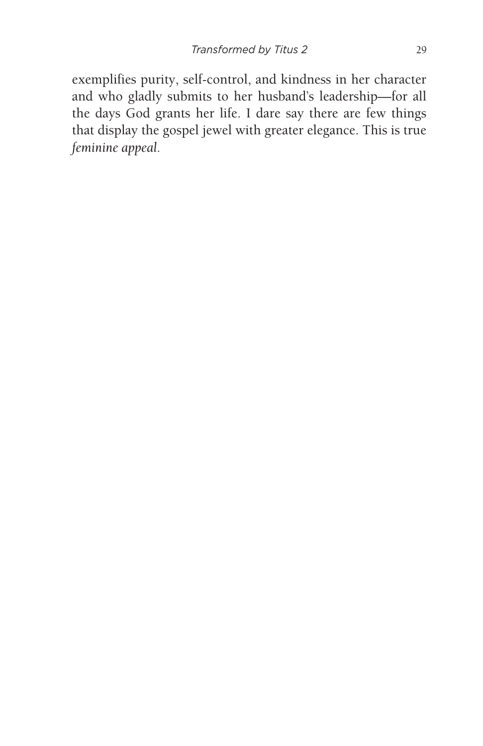exemplifies purity, self-control, and kindness in her character and who gladly submits to her husband's leadership—for all the days God grants her life. I dare say there are few things that display the gospel jewel with greater elegance. This is true *feminine appeal.*